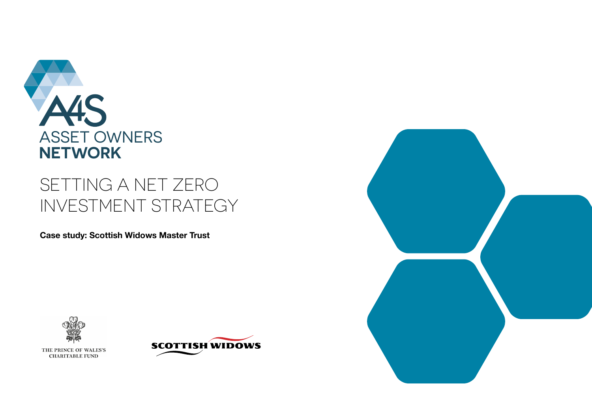

# SETTING A NET ZERO INVESTMENT STRATEGY

**Case study: Scottish Widows Master Trust**



THE PRINCE OF WALES'S **CHARITABLE FUND** 



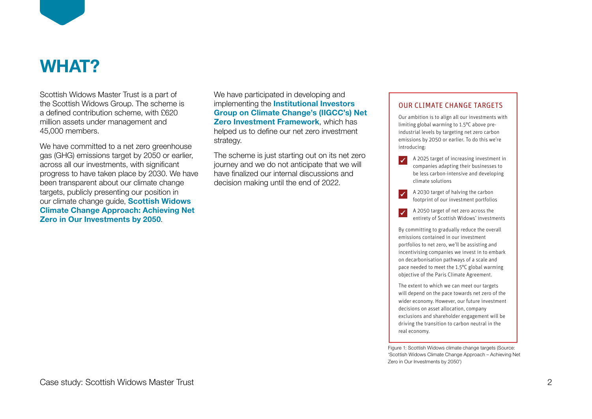

# **WHAT?**

Scottish Widows Master Trust is a part of the Scottish Widows Group. The scheme is a defined contribution scheme, with £620 million assets under management and 45,000 members.

We have committed to a net zero greenhouse gas (GHG) emissions target by 2050 or earlier, across all our investments, with significant progress to have taken place by 2030. We have been transparent about our climate change targets, publicly presenting our position in our climate change guide, **[Scottish Widows](https://adviser.scottishwidows.co.uk/assets/literature/docs/60356.pdf)  [Climate Change Approach: Achieving Net](https://adviser.scottishwidows.co.uk/assets/literature/docs/60356.pdf)  [Zero in Our Investments by 2050](https://adviser.scottishwidows.co.uk/assets/literature/docs/60356.pdf)**.

We have participated in developing and implementing the **Institutional Investors** Group on Climate Change's (IIGCC's) Net **[Zero Investment Framework](https://www.iigcc.org/resource/net-zero-investment-framework-implementation-guide/)**, which has helped us to define our net zero investment strategy.

The scheme is just starting out on its net zero journey and we do not anticipate that we will have finalized our internal discussions and decision making until the end of 2022.  $\overline{c}$  is just starting out off its field zero

## OUR CLIMATE CHANGE TARGETS

Our ambition is to align all our investments with limiting global warming to 1.5°C above preindustrial levels by targeting net zero carbon emissions by 2050 or earlier. To do this we're introducing:

- A 2025 target of increasing investment in companies adapting their businesses to be less carbon-intensive and developing climate solutions
- A 2030 target of halving the carbon  $\overline{\mathcal{A}}$ footprint of our investment portfolios
- A 2050 target of net zero across the  $\overline{\mathscr{L}}$ entirety of Scottish Widows' investments

By committing to gradually reduce the overall emissions contained in our investment portfolios to net zero, we'll be assisting and incentivising companies we invest in to embark on decarbonisation pathways of a scale and pace needed to meet the 1.5°C global warming objective of the Paris Climate Agreement.

The extent to which we can meet our targets will depend on the pace towards net zero of the wider economy. However, our future investment decisions on asset allocation, company exclusions and shareholder engagement will be driving the transition to carbon neutral in the real economy.

Figure 1: Scottish Widows climate change targets (Source: 'Scottish Widows Climate Change Approach – Achieving Net Zero in Our Investments by 2050')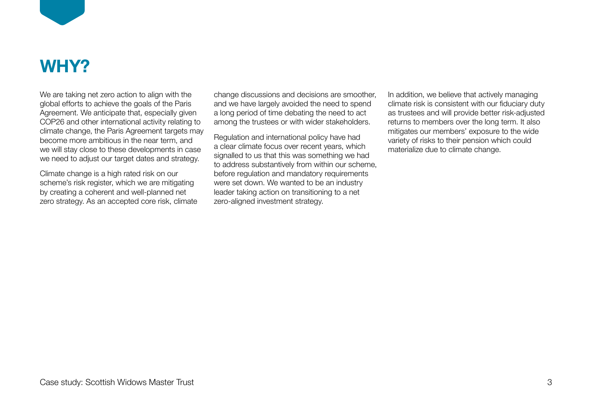

# **WHY?**

We are taking net zero action to align with the global efforts to achieve the goals of the Paris Agreement. We anticipate that, especially given COP26 and other international activity relating to climate change, the Paris Agreement targets may become more ambitious in the near term, and we will stay close to these developments in case we need to adjust our target dates and strategy.

Climate change is a high rated risk on our scheme's risk register, which we are mitigating by creating a coherent and well-planned net zero strategy. As an accepted core risk, climate change discussions and decisions are smoother, and we have largely avoided the need to spend a long period of time debating the need to act among the trustees or with wider stakeholders.

Regulation and international policy have had a clear climate focus over recent years, which signalled to us that this was something we had to address substantively from within our scheme, before regulation and mandatory requirements were set down. We wanted to be an industry leader taking action on transitioning to a net zero-aligned investment strategy.

In addition, we believe that actively managing climate risk is consistent with our fiduciary duty as trustees and will provide better risk-adjusted returns to members over the long term. It also mitigates our members' exposure to the wide variety of risks to their pension which could materialize due to climate change.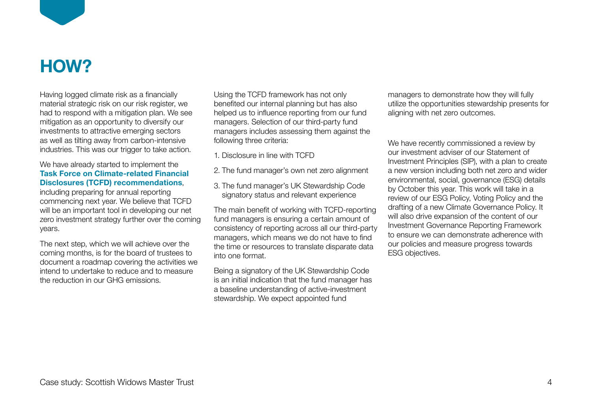

# **HOW?**

Having logged climate risk as a financially material strategic risk on our risk register, we had to respond with a mitigation plan. We see mitigation as an opportunity to diversify our investments to attractive emerging sectors as well as tilting away from carbon-intensive industries. This was our trigger to take action.

# We have already started to implement the **[Task Force on Climate-related Financial](https://www.fsb-tcfd.org/)  [Disclosures \(TCFD\) recommendations](https://www.fsb-tcfd.org/)**,

including preparing for annual reporting commencing next year. We believe that TCFD will be an important tool in developing our net zero investment strategy further over the coming years.

The next step, which we will achieve over the coming months, is for the board of trustees to document a roadmap covering the activities we intend to undertake to reduce and to measure the reduction in our GHG emissions.

Using the TCFD framework has not only benefited our internal planning but has also helped us to influence reporting from our fund managers. Selection of our third-party fund managers includes assessing them against the following three criteria:

- 1. Disclosure in line with TCFD
- 2. The fund manager's own net zero alignment
- 3. The fund manager's UK Stewardship Code signatory status and relevant experience

The main benefit of working with TCFD-reporting fund managers is ensuring a certain amount of consistency of reporting across all our third-party managers, which means we do not have to find the time or resources to translate disparate data into one format.

Being a signatory of the UK Stewardship Code is an initial indication that the fund manager has a baseline understanding of active-investment stewardship. We expect appointed fund

managers to demonstrate how they will fully utilize the opportunities stewardship presents for aligning with net zero outcomes.

We have recently commissioned a review by our investment adviser of our Statement of Investment Principles (SIP), with a plan to create a new version including both net zero and wider environmental, social, governance (ESG) details by October this year. This work will take in a review of our ESG Policy, Voting Policy and the drafting of a new Climate Governance Policy. It will also drive expansion of the content of our Investment Governance Reporting Framework to ensure we can demonstrate adherence with our policies and measure progress towards ESG objectives.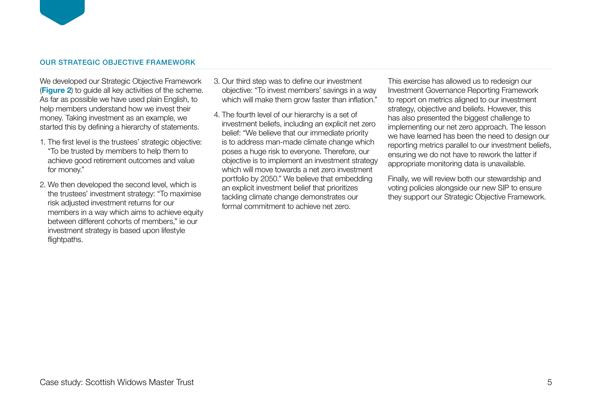### OUR STRATEGIC OBJECTIVE FRAMEWORK

We developed our Strategic Objective Framework (**[Figure 2](#page-5-0)**) to guide all key activities of the scheme. As far as possible we have used plain English, to help members understand how we invest their money. Taking investment as an example, we started this by defining a hierarchy of statements.

- 1. The first level is the trustees' strategic objective: "To be trusted by members to help them to achieve good retirement outcomes and value for money."
- 2. We then developed the second level, which is the trustees' investment strategy: "To maximise risk adjusted investment returns for our members in a way which aims to achieve equity between different cohorts of members," ie our investment strategy is based upon lifestyle flightpaths.
- 3. Our third step was to define our investment objective: "To invest members' savings in a way which will make them grow faster than inflation."
- 4. The fourth level of our hierarchy is a set of investment beliefs, including an explicit net zero belief: "We believe that our immediate priority is to address man-made climate change which poses a huge risk to everyone. Therefore, our objective is to implement an investment strategy which will move towards a net zero investment portfolio by 2050." We believe that embedding an explicit investment belief that prioritizes tackling climate change demonstrates our formal commitment to achieve net zero.

This exercise has allowed us to redesign our Investment Governance Reporting Framework to report on metrics aligned to our investment strategy, objective and beliefs. However, this has also presented the biggest challenge to implementing our net zero approach. The lesson we have learned has been the need to design our reporting metrics parallel to our investment beliefs, ensuring we do not have to rework the latter if appropriate monitoring data is unavailable.

Finally, we will review both our stewardship and voting policies alongside our new SIP to ensure they support our Strategic Objective Framework.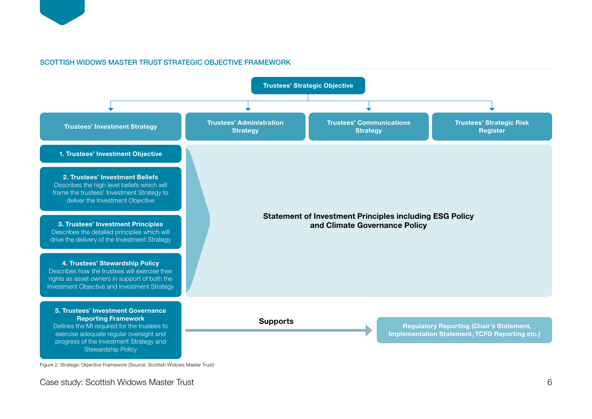<span id="page-5-0"></span>

## SCOTTISH WIDOWS MASTER TRUST STRATEGIC OBJECTIVE FRAMEWORK



Case study: Scottish Widows Master Trust 6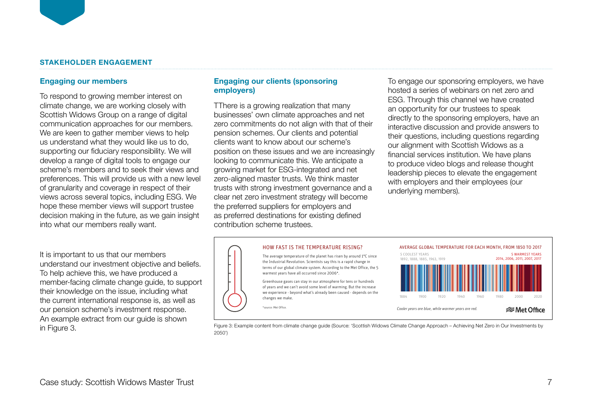## **STAKEHOLDER ENGAGEMENT**

#### **Engaging our members**

To respond to growing member interest on climate change, we are working closely with Scottish Widows Group on a range of digital communication approaches for our members. We are keen to gather member views to help us understand what they would like us to do, supporting our fiduciary responsibility. We will develop a range of digital tools to engage our scheme's members and to seek their views and preferences. This will provide us with a new level of granularity and coverage in respect of their views across several topics, including ESG. We hope these member views will support trustee decision making in the future, as we gain insight into what our members really want.

It is important to us that our members understand our investment objective and beliefs. To help achieve this, we have produced a member-facing climate change guide, to support their knowledge on the issue, including what the current international response is, as well as our pension scheme's investment response. An example extract from our guide is shown in Figure 3.

# **Engaging our clients (sponsoring**   $emplyers)$

TThere is a growing realization that many businesses' own climate approaches and net zero commitments do not align with that of their  $\frac{1}{\mathbf{I} \cdot \mathbf{I}}$ pension schemes. Our clients and potential clients want to know about our scheme's and gassistic position on these issues and we are increasingly financial services iooking to communicate this. We anticipate a growing market for ESG-integrated and net greening manner to the chancegraphs and not the second greenhouse gases. trusts with strong investment governance and a with chippy clear net zero investment strategy will become the preferred suppliers for employers and as preferred destinations for existing defined contribution scheme trustees. businesses' own climate approaches and net directly to the porton fourtenance. We're already activity to communicate this. Education of the reading sero-aligned master trusts. We think master clear net zero investment strategy will become as pi a special report stressing the importance of keeping global warming below 1.5°C, based upon scientific evidence.

To engage our sponsoring employers, we have hosted a series of webinars on net zero and ESG. Through this channel we have created an opportunity for our trustees to speak es and net directly to the sponsoring employers, have an enceing energy reserving employees, many and the care interactive discussion and provide answers to potential their questions, including questions regarding errie s added extra greenhouse into the Scottish Widows as a balance between the analysis our alignment with Scottish Widows as a e increasingly financial services institution. We have plans nticipate a to produce video blogs and release thought leadership pieces to elevate the engagement with employers and their employees (our nance and a limit and erlying members). vur trustees to speak greenhouse gas emissions produced, and the amount removed stitution. We have plans ago and rologo inought fully offset, predominantly through natural carbon sinks such as



Figure 3: Example content from climate change guide (Source: 'Scottish Widows Climate Change Approach – Achieving Net Zero in Our Investments by 2050')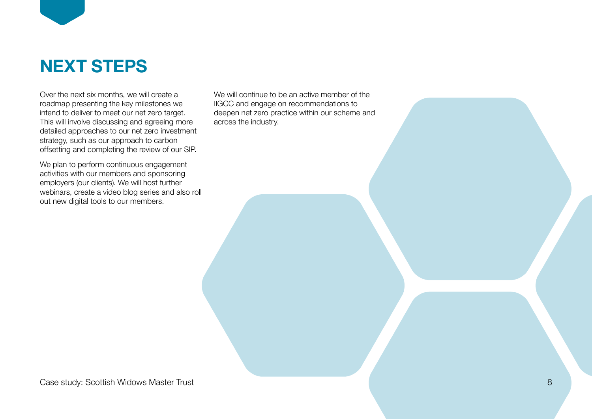

Over the next six months, we will create a roadmap presenting the key milestones we intend to deliver to meet our net zero target. This will involve discussing and agreeing more detailed approaches to our net zero investment strategy, such as our approach to carbon offsetting and completing the review of our SIP.

We plan to perform continuous engagement activities with our members and sponsoring employers (our clients). We will host further webinars, create a video blog series and also roll out new digital tools to our members.

We will continue to be an active member of the IIGCC and engage on recommendations to deepen net zero practice within our scheme and across the industry.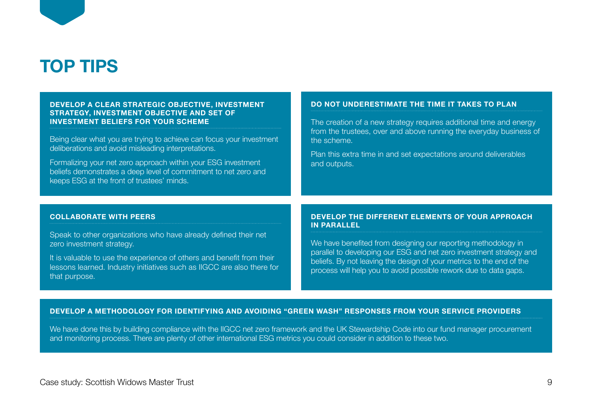

## **DEVELOP A CLEAR STRATEGIC OBJECTIVE, INVESTMENT STRATEGY, INVESTMENT OBJECTIVE AND SET OF INVESTMENT BELIEFS FOR YOUR SCHEME**

Being clear what you are trying to achieve can focus your investment deliberations and avoid misleading interpretations.

Formalizing your net zero approach within your ESG investment beliefs demonstrates a deep level of commitment to net zero and keeps ESG at the front of trustees' minds.

#### **DO NOT UNDERESTIMATE THE TIME IT TAKES TO PLAN**

The creation of a new strategy requires additional time and energy from the trustees, over and above running the everyday business of the scheme.

Plan this extra time in and set expectations around deliverables and outputs.

#### **COLLABORATE WITH PEERS**

Speak to other organizations who have already defined their net zero investment strategy.

It is valuable to use the experience of others and benefit from their lessons learned. Industry initiatives such as IIGCC are also there for that purpose.

#### **DEVELOP THE DIFFERENT ELEMENTS OF YOUR APPROACH IN PARALLEL**

We have benefited from designing our reporting methodology in parallel to developing our ESG and net zero investment strategy and beliefs. By not leaving the design of your metrics to the end of the process will help you to avoid possible rework due to data gaps.

#### **DEVELOP A METHODOLOGY FOR IDENTIFYING AND AVOIDING "GREEN WASH" RESPONSES FROM YOUR SERVICE PROVIDERS**

We have done this by building compliance with the IIGCC net zero framework and the UK Stewardship Code into our fund manager procurement and monitoring process. There are plenty of other international ESG metrics you could consider in addition to these two.